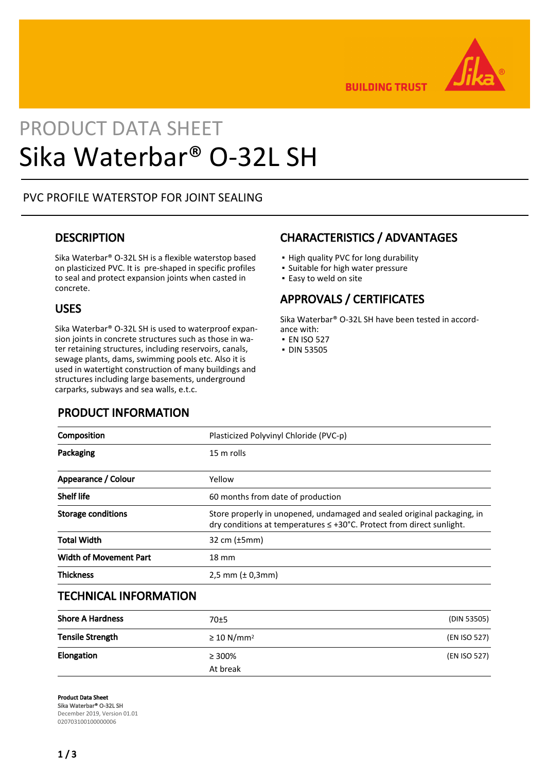

**BUILDING TRUST** 

# PRODUCT DATA SHEET Sika Waterbar® O-32L SH

### PVC PROFILE WATERSTOP FOR JOINT SEALING

### **DESCRIPTION**

Sika Waterbar® O-32L SH is a flexible waterstop based on plasticized PVC. It is pre-shaped in specific profiles to seal and protect expansion joints when casted in concrete.

### USES

Sika Waterbar® O-32L SH is used to waterproof expansion joints in concrete structures such as those in water retaining structures, including reservoirs, canals, sewage plants, dams, swimming pools etc. Also it is used in watertight construction of many buildings and structures including large basements, underground carparks, subways and sea walls, e.t.c.

### PRODUCT INFORMATION

### CHARACTERISTICS / ADVANTAGES

- High quality PVC for long durability
- Suitable for high water pressure
- **Easy to weld on site**

### APPROVALS / CERTIFICATES

Sika Waterbar® O-32L SH have been tested in accordance with:

- EN ISO 527
- DIN 53505

| Composition                   | Plasticized Polyvinyl Chloride (PVC-p)                                                                                                                |  |
|-------------------------------|-------------------------------------------------------------------------------------------------------------------------------------------------------|--|
| Packaging                     | 15 m rolls                                                                                                                                            |  |
| Appearance / Colour           | Yellow                                                                                                                                                |  |
| <b>Shelf life</b>             | 60 months from date of production                                                                                                                     |  |
| <b>Storage conditions</b>     | Store properly in unopened, undamaged and sealed original packaging, in<br>dry conditions at temperatures $\leq$ +30°C. Protect from direct sunlight. |  |
| <b>Total Width</b>            | 32 cm $(\pm 5$ mm $)$                                                                                                                                 |  |
| <b>Width of Movement Part</b> | $18 \text{ mm}$                                                                                                                                       |  |
| <b>Thickness</b>              | 2.5 mm $(\pm 0.3$ mm $)$                                                                                                                              |  |

### TECHNICAL INFORMATION

| <b>Shore A Hardness</b> | 70±5                        | (DIN 53505)  |
|-------------------------|-----------------------------|--------------|
| <b>Tensile Strength</b> | $\geq$ 10 N/mm <sup>2</sup> | (EN ISO 527) |
| Elongation              | $\geq 300\%$<br>At break    | (EN ISO 527) |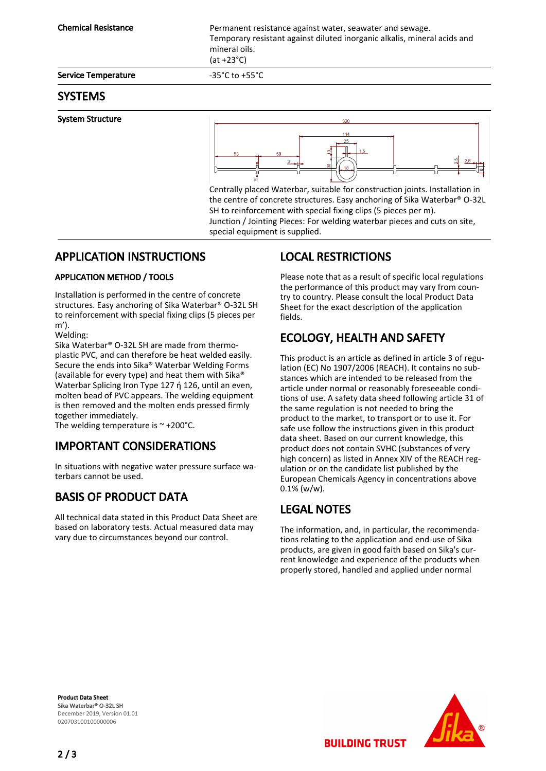Service Temperature  $-35^{\circ}$ C to +55°C

### SYSTEMS

#### System Structure



Centrally placed Waterbar, suitable for construction joints. Installation in the centre of concrete structures. Easy anchoring of Sika Waterbar® O-32L SH to reinforcement with special fixing clips (5 pieces per m). Junction / Jointing Pieces: For welding waterbar pieces and cuts on site, special equipment is supplied.

### APPLICATION INSTRUCTIONS

### APPLICATION METHOD / TOOLS

Installation is performed in the centre of concrete structures. Easy anchoring of Sika Waterbar® O-32L SH to reinforcement with special fixing clips (5 pieces per m').

Welding:

Sika Waterbar® O-32L SH are made from thermoplastic PVC, and can therefore be heat welded easily. Secure the ends into Sika® Waterbar Welding Forms (available for every type) and heat them with Sika® Waterbar Splicing Iron Type 127 ή 126, until an even, molten bead of PVC appears. The welding equipment is then removed and the molten ends pressed firmly together immediately.

The welding temperature is  $\sim$  +200°C.

## IMPORTANT CONSIDERATIONS

In situations with negative water pressure surface waterbars cannot be used.

## BASIS OF PRODUCT DATA

All technical data stated in this Product Data Sheet are based on laboratory tests. Actual measured data may vary due to circumstances beyond our control.

## LOCAL RESTRICTIONS

Please note that as a result of specific local regulations the performance of this product may vary from country to country. Please consult the local Product Data Sheet for the exact description of the application fields.

# ECOLOGY, HEALTH AND SAFETY

This product is an article as defined in article 3 of regulation (EC) No 1907/2006 (REACH). It contains no substances which are intended to be released from the article under normal or reasonably foreseeable conditions of use. A safety data sheed following article 31 of the same regulation is not needed to bring the product to the market, to transport or to use it. For safe use follow the instructions given in this product data sheet. Based on our current knowledge, this product does not contain SVHC (substances of very high concern) as listed in Annex XIV of the REACH regulation or on the candidate list published by the European Chemicals Agency in concentrations above  $0.1\%$  (w/w).

## LEGAL NOTES

The information, and, in particular, the recommendations relating to the application and end-use of Sika products, are given in good faith based on Sika's current knowledge and experience of the products when properly stored, handled and applied under normal

**BUILDING TRUST** 

Product Data Sheet Sika Waterbar® 0-32L SH December 2019, Version 01.01 020703100100000006